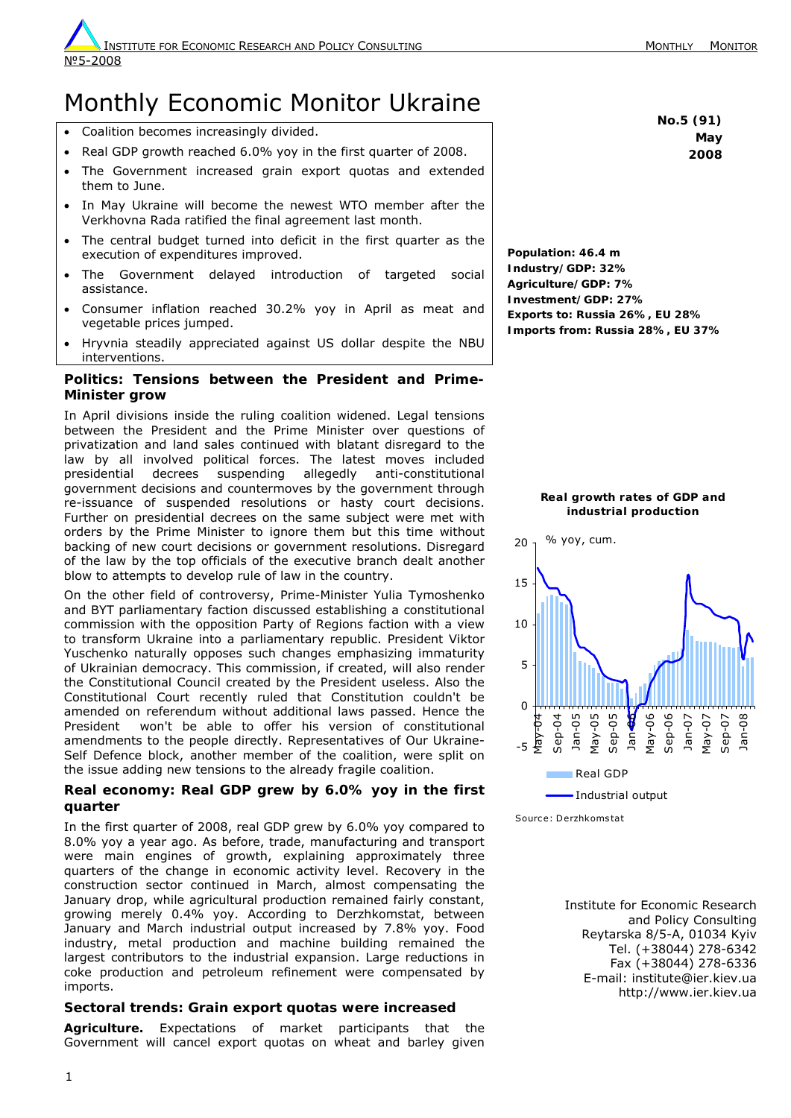# Monthly Economic Monitor Ukraine

- Coalition becomes increasingly divided.
- Real GDP growth reached 6.0% yoy in the first quarter of 2008.
- The Government increased grain export quotas and extended them to June.
- In May Ukraine will become the newest WTO member after the Verkhovna Rada ratified the final agreement last month.
- The central budget turned into deficit in the first quarter as the execution of expenditures improved.
- The Government delayed introduction of targeted social assistance.
- Consumer inflation reached 30.2% yoy in April as meat and vegetable prices jumped.
- Hryvnia steadily appreciated against US dollar despite the NBU interventions.

## **Politics: Tensions between the President and Prime-Minister grow**

In April divisions inside the ruling coalition widened. Legal tensions between the President and the Prime Minister over questions of privatization and land sales continued with blatant disregard to the law by all involved political forces. The latest moves included presidential decrees suspending allegedly anti-constitutional government decisions and countermoves by the government through re-issuance of suspended resolutions or hasty court decisions. Further on presidential decrees on the same subject were met with orders by the Prime Minister to ignore them but this time without backing of new court decisions or government resolutions. Disregard of the law by the top officials of the executive branch dealt another blow to attempts to develop rule of law in the country.

On the other field of controversy, Prime-Minister Yulia Tymoshenko and BYT parliamentary faction discussed establishing a constitutional commission with the opposition Party of Regions faction with a view to transform Ukraine into a parliamentary republic. President Viktor Yuschenko naturally opposes such changes emphasizing immaturity of Ukrainian democracy. This commission, if created, will also render the Constitutional Council created by the President useless. Also the Constitutional Court recently ruled that Constitution couldn't be amended on referendum without additional laws passed. Hence the President won't be able to offer his version of constitutional amendments to the people directly. Representatives of Our Ukraine-Self Defence block, another member of the coalition, were split on the issue adding new tensions to the already fragile coalition.

# **Real economy: Real GDP grew by 6.0% yoy in the first quarter**

In the first quarter of 2008, real GDP grew by 6.0% yoy compared to 8.0% yoy a year ago. As before, trade, manufacturing and transport were main engines of growth, explaining approximately three quarters of the change in economic activity level. Recovery in the construction sector continued in March, almost compensating the January drop, while agricultural production remained fairly constant, growing merely 0.4% yoy. According to Derzhkomstat, between January and March industrial output increased by 7.8% yoy. Food industry, metal production and machine building remained the largest contributors to the industrial expansion. Large reductions in coke production and petroleum refinement were compensated by imports.

# **Sectoral trends: Grain export quotas were increased**

*Agriculture.* Expectations of market participants that the Government will cancel export quotas on wheat and barley given **No.5 (91) May 2008**

**Population: 46.4 m Industry/GDP: 32% Agriculture/GDP: 7% Investment/GDP: 27% Exports to: Russia 26%, EU 28% Imports from: Russia 28%, EU 37%**

#### **Real growth rates of GDP and industrial production**



Source: Derzhkomstat

Institute for Economic Research and Policy Consulting Reytarska 8/5-A, 01034 Kyiv Tel. (+38044) 278-6342 Fax (+38044) 278-6336 E-mail: institute@ier.kiev.ua http://www.ier.kiev.ua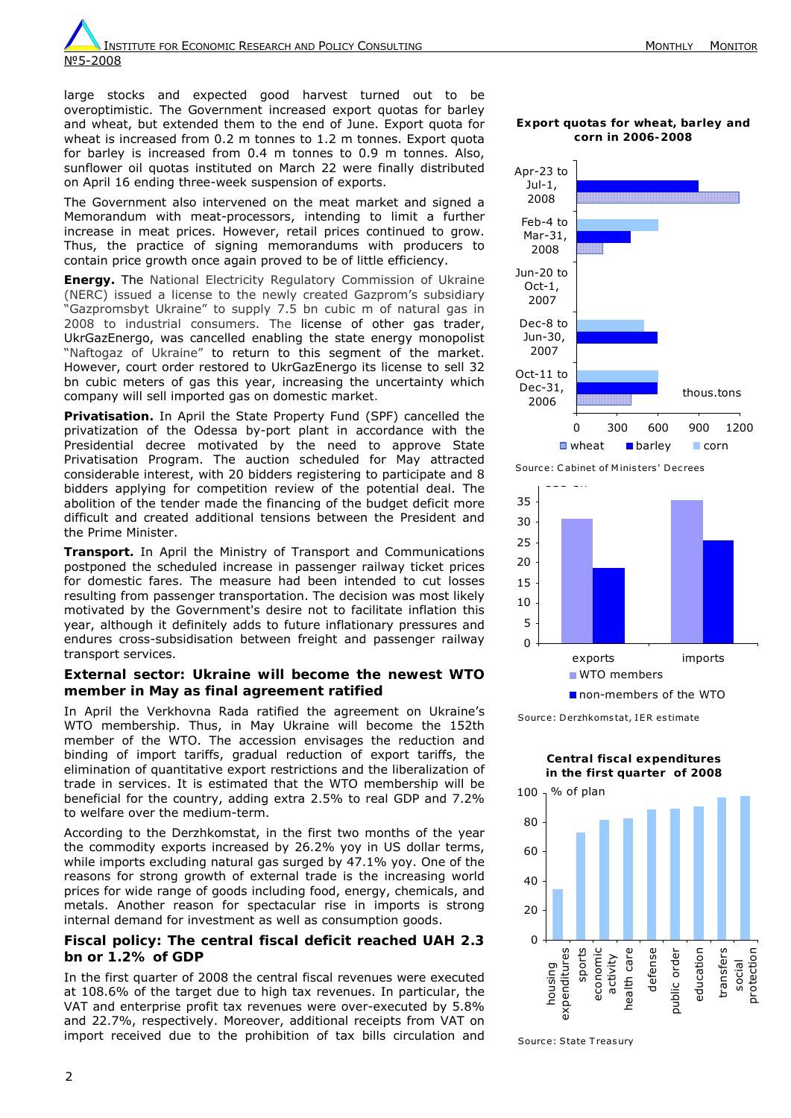large stocks and expected good harvest turned out to be overoptimistic. The Government increased export quotas for barley and wheat, but extended them to the end of June. Export quota for wheat is increased from 0.2 m tonnes to 1.2 m tonnes. Export quota for barley is increased from 0.4 m tonnes to 0.9 m tonnes. Also, sunflower oil quotas instituted on March 22 were finally distributed on April 16 ending three-week suspension of exports.

The Government also intervened on the meat market and signed a Memorandum with meat-processors, intending to limit a further increase in meat prices. However, retail prices continued to grow. Thus, the practice of signing memorandums with producers to contain price growth once again proved to be of little efficiency.

*Energy.* The National Electricity Regulatory Commission of Ukraine (NERC) issued a license to the newly created Gazprom's subsidiary "Gazpromsbyt Ukraine" to supply 7.5 bn cubic m of natural gas in 2008 to industrial consumers. The license of other gas trader, UkrGazEnergo, was cancelled enabling the state energy monopolist "Naftogaz of Ukraine" to return to this segment of the market. However, court order restored to UkrGazEnergo its license to sell 32 bn cubic meters of gas this year, increasing the uncertainty which company will sell imported gas on domestic market.

*Privatisation.* In April the State Property Fund (SPF) cancelled the privatization of the Odessa by-port plant in accordance with the Presidential decree motivated by the need to approve State Privatisation Program. The auction scheduled for May attracted considerable interest, with 20 bidders registering to participate and 8 bidders applying for competition review of the potential deal. The abolition of the tender made the financing of the budget deficit more difficult and created additional tensions between the President and the Prime Minister.

*Transport.* In April the Ministry of Transport and Communications postponed the scheduled increase in passenger railway ticket prices for domestic fares. The measure had been intended to cut losses resulting from passenger transportation. The decision was most likely motivated by the Government's desire not to facilitate inflation this year, although it definitely adds to future inflationary pressures and endures cross-subsidisation between freight and passenger railway transport services.

### **External sector: Ukraine will become the newest WTO member in May as final agreement ratified**

In April the Verkhovna Rada ratified the agreement on Ukraine's WTO membership. Thus, in May Ukraine will become the 152th member of the WTO. The accession envisages the reduction and binding of import tariffs, gradual reduction of export tariffs, the elimination of quantitative export restrictions and the liberalization of trade in services. It is estimated that the WTO membership will be beneficial for the country, adding extra 2.5% to real GDP and 7.2% to welfare over the medium-term.

According to the Derzhkomstat, in the first two months of the year the commodity exports increased by 26.2% yoy in US dollar terms, while imports excluding natural gas surged by 47.1% yoy. One of the reasons for strong growth of external trade is the increasing world prices for wide range of goods including food, energy, chemicals, and metals. Another reason for spectacular rise in imports is strong internal demand for investment as well as consumption goods.

## **Fiscal policy: The central fiscal deficit reached UAH 2.3 bn or 1.2% of GDP**

In the first quarter of 2008 the central fiscal revenues were executed at 108.6% of the target due to high tax revenues. In particular, the VAT and enterprise profit tax revenues were over-executed by 5.8% and 22.7%, respectively. Moreover, additional receipts from VAT on import received due to the prohibition of tax bills circulation and

**Export quotas for wheat, barley and corn in 2006-2008**



Source: Cabinet of Ministers' Decrees



Source: Derzhkomstat, IER estimate

**Central fiscal expenditures in the first quarter of 2008**



Source: State Treasury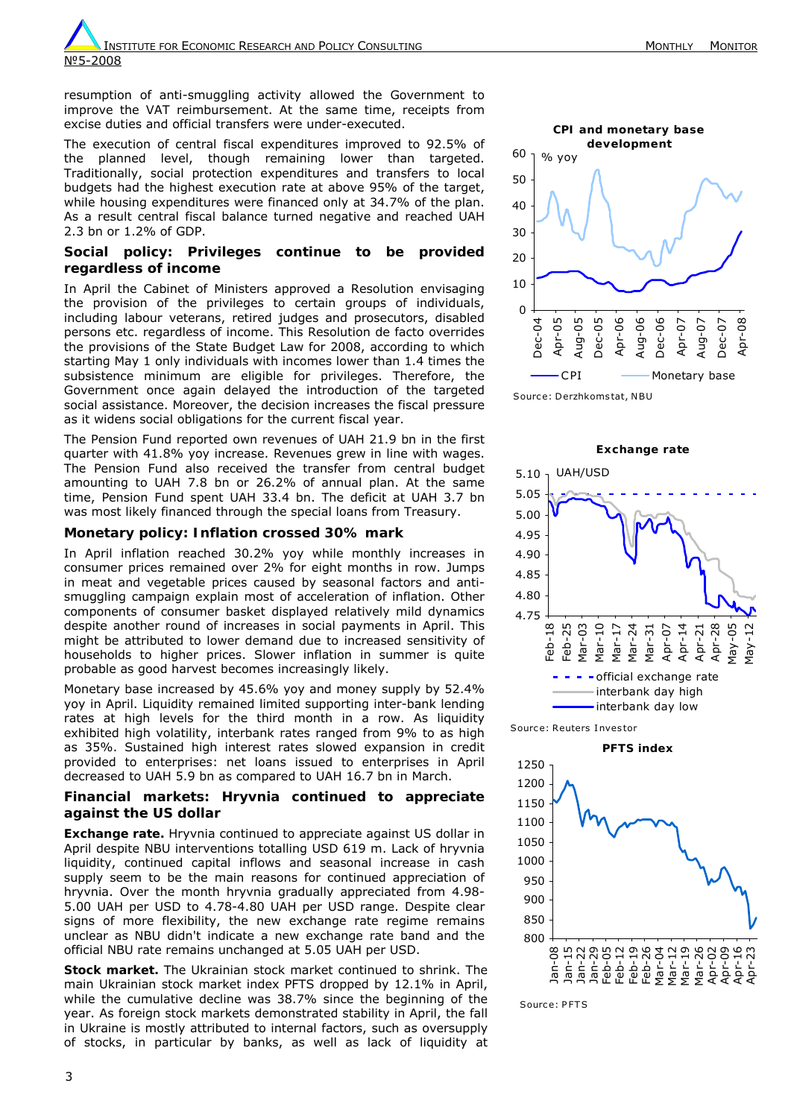3

**INSTITUTE FOR ECONOMIC RESEARCH AND POLICY CONSULTING MONE AND ARRIVE MONTHLY MONTHLY MONTTOR** №5-2008

resumption of anti-smuggling activity allowed the Government to improve the VAT reimbursement. At the same time, receipts from excise duties and official transfers were under-executed.

The execution of central fiscal expenditures improved to 92.5% of the planned level, though remaining lower than targeted. Traditionally, social protection expenditures and transfers to local budgets had the highest execution rate at above 95% of the target, while housing expenditures were financed only at 34.7% of the plan. As a result central fiscal balance turned negative and reached UAH 2.3 bn or 1.2% of GDP.

## **Social policy: Privileges continue to be provided regardless of income**

In April the Cabinet of Ministers approved a Resolution envisaging the provision of the privileges to certain groups of individuals, including labour veterans, retired judges and prosecutors, disabled persons etc. regardless of income. This Resolution *de facto* overrides the provisions of the State Budget Law for 2008, according to which starting May 1 only individuals with incomes lower than 1.4 times the subsistence minimum are eligible for privileges. Therefore, the Government once again delayed the introduction of the targeted social assistance. Moreover, the decision increases the fiscal pressure as it widens social obligations for the current fiscal year.

The Pension Fund reported own revenues of UAH 21.9 bn in the first quarter with 41.8% yoy increase. Revenues grew in line with wages. The Pension Fund also received the transfer from central budget amounting to UAH 7.8 bn or 26.2% of annual plan. At the same time, Pension Fund spent UAH 33.4 bn. The deficit at UAH 3.7 bn was most likely financed through the special loans from Treasury.

## **Monetary policy: Inflation crossed 30% mark**

In April inflation reached 30.2% yoy while monthly increases in consumer prices remained over 2% for eight months in row. Jumps in meat and vegetable prices caused by seasonal factors and antismuggling campaign explain most of acceleration of inflation. Other components of consumer basket displayed relatively mild dynamics despite another round of increases in social payments in April. This might be attributed to lower demand due to increased sensitivity of households to higher prices. Slower inflation in summer is quite probable as good harvest becomes increasingly likely.

Monetary base increased by 45.6% yoy and money supply by 52.4% yoy in April. Liquidity remained limited supporting inter-bank lending rates at high levels for the third month in a row. As liquidity exhibited high volatility, interbank rates ranged from 9% to as high as 35%. Sustained high interest rates slowed expansion in credit provided to enterprises: net loans issued to enterprises in April decreased to UAH 5.9 bn as compared to UAH 16.7 bn in March.

## **Financial markets: Hryvnia continued to appreciate against the US dollar**

**Exchange rate.** Hryvnia continued to appreciate against US dollar in April despite NBU interventions totalling USD 619 m. Lack of hryvnia liquidity, continued capital inflows and seasonal increase in cash supply seem to be the main reasons for continued appreciation of hryvnia. Over the month hryvnia gradually appreciated from 4.98- 5.00 UAH per USD to 4.78-4.80 UAH per USD range. Despite clear signs of more flexibility, the new exchange rate regime remains unclear as NBU didn't indicate a new exchange rate band and the official NBU rate remains unchanged at 5.05 UAH per USD.

*Stock market.* The Ukrainian stock market continued to shrink. The main Ukrainian stock market index PFTS dropped by 12.1% in April, while the cumulative decline was 38.7% since the beginning of the year. As foreign stock markets demonstrated stability in April, the fall in Ukraine is mostly attributed to internal factors, such as oversupply of stocks, in particular by banks, as well as lack of liquidity at

Source: Derzhkomstat, NBU



**Exchange rate** 



Source: PFTS

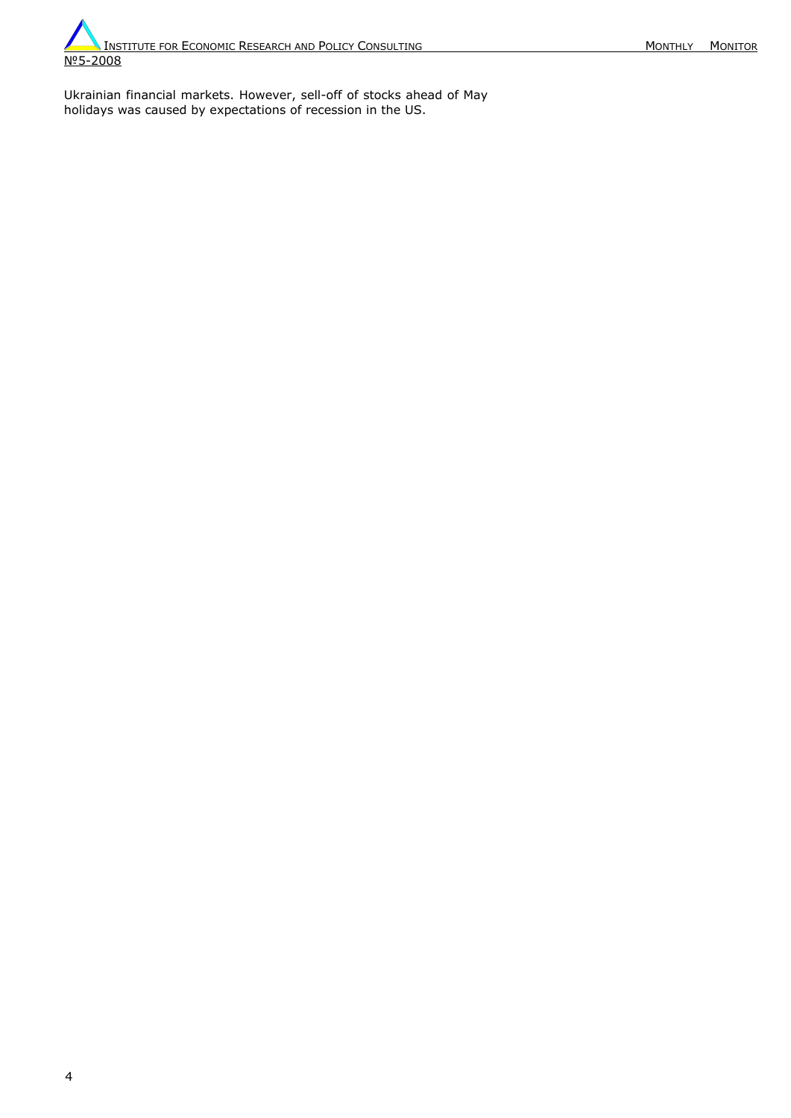Ukrainian financial markets. However, sell-off of stocks ahead of May holidays was caused by expectations of recession in the US.